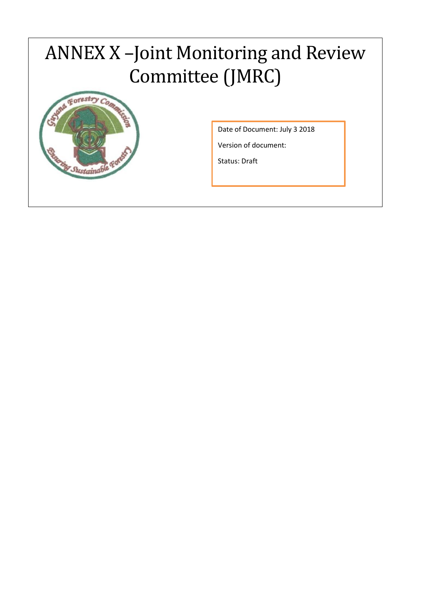## ANNEX X –Joint Monitoring and Review Committee (JMRC)



Date of Document: July 3 2018

Version of document:

Status: Draft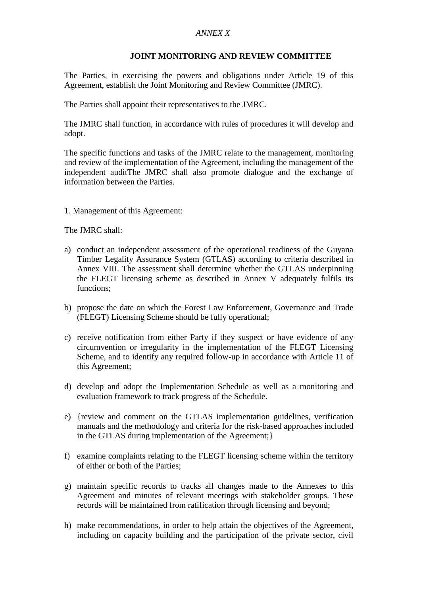## *ANNEX X*

## **JOINT MONITORING AND REVIEW COMMITTEE**

The Parties, in exercising the powers and obligations under Article 19 of this Agreement, establish the Joint Monitoring and Review Committee (JMRC).

The Parties shall appoint their representatives to the JMRC.

The JMRC shall function, in accordance with rules of procedures it will develop and adopt.

The specific functions and tasks of the JMRC relate to the management, monitoring and review of the implementation of the Agreement, including the management of the independent auditThe JMRC shall also promote dialogue and the exchange of information between the Parties.

1. Management of this Agreement:

The JMRC shall:

- a) conduct an independent assessment of the operational readiness of the Guyana Timber Legality Assurance System (GTLAS) according to criteria described in Annex VIII. The assessment shall determine whether the GTLAS underpinning the FLEGT licensing scheme as described in Annex V adequately fulfils its functions;
- b) propose the date on which the Forest Law Enforcement, Governance and Trade (FLEGT) Licensing Scheme should be fully operational;
- c) receive notification from either Party if they suspect or have evidence of any circumvention or irregularity in the implementation of the FLEGT Licensing Scheme, and to identify any required follow-up in accordance with Article 11 of this Agreement;
- d) develop and adopt the Implementation Schedule as well as a monitoring and evaluation framework to track progress of the Schedule.
- e) {review and comment on the GTLAS implementation guidelines, verification manuals and the methodology and criteria for the risk-based approaches included in the GTLAS during implementation of the Agreement;}
- f) examine complaints relating to the FLEGT licensing scheme within the territory of either or both of the Parties;
- g) maintain specific records to tracks all changes made to the Annexes to this Agreement and minutes of relevant meetings with stakeholder groups. These records will be maintained from ratification through licensing and beyond;
- h) make recommendations, in order to help attain the objectives of the Agreement, including on capacity building and the participation of the private sector, civil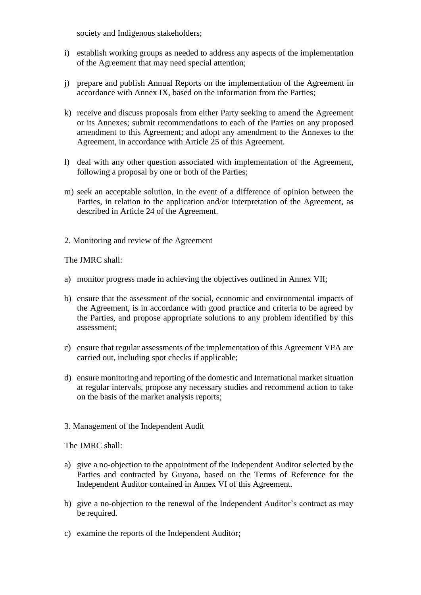society and Indigenous stakeholders;

- i) establish working groups as needed to address any aspects of the implementation of the Agreement that may need special attention;
- j) prepare and publish Annual Reports on the implementation of the Agreement in accordance with Annex IX, based on the information from the Parties;
- k) receive and discuss proposals from either Party seeking to amend the Agreement or its Annexes; submit recommendations to each of the Parties on any proposed amendment to this Agreement; and adopt any amendment to the Annexes to the Agreement, in accordance with Article 25 of this Agreement.
- l) deal with any other question associated with implementation of the Agreement, following a proposal by one or both of the Parties;
- m) seek an acceptable solution, in the event of a difference of opinion between the Parties, in relation to the application and/or interpretation of the Agreement, as described in Article 24 of the Agreement.
- 2. Monitoring and review of the Agreement

The JMRC shall:

- a) monitor progress made in achieving the objectives outlined in Annex VII;
- b) ensure that the assessment of the social, economic and environmental impacts of the Agreement, is in accordance with good practice and criteria to be agreed by the Parties, and propose appropriate solutions to any problem identified by this assessment;
- c) ensure that regular assessments of the implementation of this Agreement VPA are carried out, including spot checks if applicable;
- d) ensure monitoring and reporting of the domestic and International market situation at regular intervals, propose any necessary studies and recommend action to take on the basis of the market analysis reports;
- 3. Management of the Independent Audit

The JMRC shall:

- a) give a no-objection to the appointment of the Independent Auditor selected by the Parties and contracted by Guyana, based on the Terms of Reference for the Independent Auditor contained in Annex VI of this Agreement.
- b) give a no-objection to the renewal of the Independent Auditor's contract as may be required.
- c) examine the reports of the Independent Auditor;